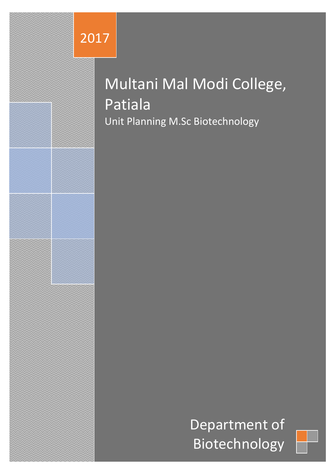# 2017

# Multani Mal Modi College, Patiala Unit Planning M.Sc Biotechnology

Department of Biotechnology

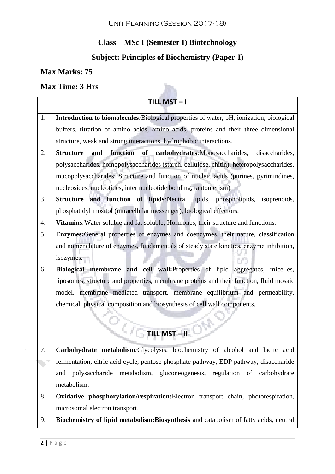## **Class – MSc I (Semester I) Biotechnology**

## **Subject: Principles of Biochemistry (Paper-I)**

#### **Max Marks: 75**

#### **Max Time: 3 Hrs**

#### $TLL$  **MST**  $-1$

- 1. **Introduction to biomolecules***:*Biological properties of water, pH, ionization, biological buffers, titration of amino acids, amino acids, proteins and their three dimensional structure, weak and strong interactions, hydrophobic interactions.
- 2. **Structure and function of carbohydrates***:*Monosaccharides, disaccharides, polysaccharides, homopolysaccharides (starch, cellulose, chitin), heteropolysaccharides, mucopolysaccharides; Structure and function of nucleic acids (purines, pyrimindines, nucleosides, nucleotides, inter nucleotide bonding, tautomerism).
- 3. **Structure and function of lipids***:*Neutral lipids, phospholipids, isoprenoids, phosphatidyl inositol (intracellular messenger), biological effectors.
- 4. **Vitamins***:*Water soluble and fat soluble; Hormones, their structure and functions.
- 5. **Enzymes:**General properties of enzymes and coenzymes, their nature, classification and nomenclature of enzymes, fundamentals of steady state kinetics, enzyme inhibition, isozymes.
- 6. **Biological membrane and cell wall:**Properties of lipid aggregates, micelles, liposomes, structure and properties, membrane proteins and their function, fluid mosaic model, membrane mediated transport, membrane equilibrium and permeability, chemical, physical composition and biosynthesis of cell wall components.

# **TILL MST – II**

- 7. **Carbohydrate metabolism***:*Glycolysis, biochemistry of alcohol and lactic acid fermentation, citric acid cycle, pentose phosphate pathway, EDP pathway, disaccharide and polysaccharide metabolism, gluconeogenesis, regulation of carbohydrate metabolism.
- 8. **Oxidative phosphorylation/respiration:**Electron transport chain, photorespiration, microsomal electron transport.
- 9. **Biochemistry of lipid metabolism:Biosynthesis** and catabolism of fatty acids, neutral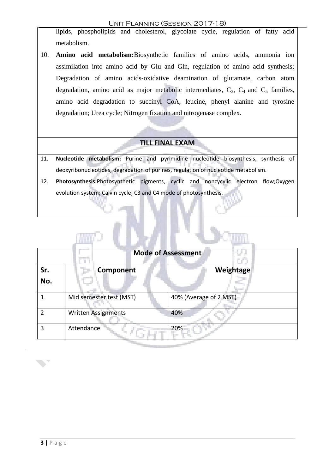#### Unit Planning (Session 2017-18)

lipids, phospholipids and cholesterol, glycolate cycle, regulation of fatty acid metabolism.

10. **Amino acid metabolism:**Biosynthetic families of amino acids, ammonia ion assimilation into amino acid by Glu and Gln, regulation of amino acid synthesis; Degradation of amino acids-oxidative deamination of glutamate, carbon atom degradation, amino acid as major metabolic intermediates,  $C_3$ ,  $C_4$  and  $C_5$  families, amino acid degradation to succinyl CoA, leucine, phenyl alanine and tyrosine degradation; Urea cycle; Nitrogen fixation and nitrogenase complex.

#### **TILL FINAL EXAM**

- 11. **Nucleotide metabolism:** Purine and pyrimidine nucleotide biosynthesis, synthesis of deoxyribonucleotides, degradation of purines, regulation of nucleotide metabolism.
- 12. **Photosynthesis:**Photosynthetic pigments, cyclic and noncycylic electron flow;Oxygen evolution system; Calvin cycle; C3 and C4 mode of photosynthesis.

|            | <b>Mode of Assessment</b>  |                        |  |
|------------|----------------------------|------------------------|--|
| Sr.<br>No. | <b>Component</b>           | Weightage              |  |
|            | Mid semester test (MST)    | 40% (Average of 2 MST) |  |
| 2          | <b>Written Assignments</b> | 40%                    |  |
| 3          | Attendance                 | 20%                    |  |

**BELIEVE**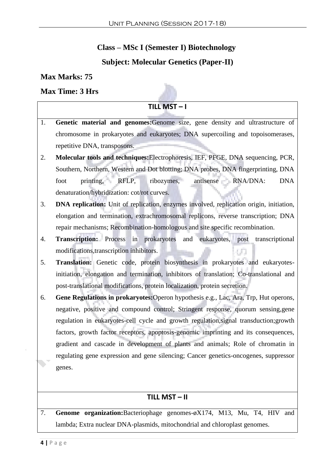## **Class – MSc I (Semester I) Biotechnology**

## **Subject: Molecular Genetics (Paper-II)**

#### **Max Marks: 75**

#### **Max Time: 3 Hrs**

#### $TILL MST - I$

- 1. **Genetic material and genomes:**Genome size, gene density and ultrastructure of chromosome in prokaryotes and eukaryotes; DNA supercoiling and topoisomerases, repetitive DNA, transposons.
- 2. **Molecular tools and techniques:**Electrophoresis, IEF, PFGE, DNA sequencing, PCR, Southern, Northern, Western and Dot blotting; DNA probes, DNA fingerprinting, DNA foot printing, RFLP, ribozymes, antisense RNA/DNA: DNA denaturation/hybridization: cot/rot curves.
- 3. **DNA replication:** Unit of replication, enzymes involved, replication origin, initiation, elongation and termination, extrachromosomal replicons, reverse transcription; DNA repair mechanisms; Recombination-homologous and site specific recombination.
- 4. **Transcription:** Process in prokaryotes and eukaryotes, post transcriptional modifications,transcription inhibitors.
- 5. **Translation:** Genetic code, protein biosynthesis in prokaryotes and eukaryotesinitiation, elongation and termination, inhibitors of translation; Co-translational and post-translational modifications, protein localization, protein secretion.
- 6. **Gene Regulations in prokaryotes:**Operon hypothesis e.g., Lac, Ara, Trp, Hut operons, negative, positive and compound control; Stringent response, quorum sensing,gene regulation in eukaryotes-cell cycle and growth regulation,signal transduction;growth factors, growth factor receptors, apoptosis-genomic imprinting and its consequences, gradient and cascade in development of plants and animals; Role of chromatin in regulating gene expression and gene silencing; Cancer genetics-oncogenes, suppressor genes.

#### **TILL MST – II**

7. **Genome organization:**Bacteriophage genomes-øX174, M13, Mu, T4, HIV and lambda; Extra nuclear DNA-plasmids, mitochondrial and chloroplast genomes.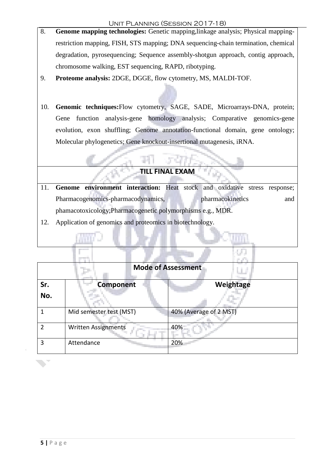- 8.**Genome mapping technologies:** Genetic mapping,linkage analysis; Physical mappingrestriction mapping, FISH, STS mapping; DNA sequencing-chain termination, chemical degradation, pyrosequencing; Sequence assembly-shotgun approach, contig approach, chromosome walking, EST sequencing, RAPD, ribotyping.
- 9.**Proteome analysis:** 2DGE, DGGE, flow cytometry, MS, MALDI-TOF.
- 10. **Genomic techniques:**Flow cytometry, SAGE, SADE, Microarrays-DNA, protein; Gene function analysis-gene homology analysis; Comparative genomics-gene evolution, exon shuffling; Genome annotation-functional domain, gene ontology; Molecular phylogenetics; Gene knockout-insertional mutagenesis, iRNA.

#### **TILL FINAL EXAM**

- 11. **Genome environment interaction:** Heat stock and oxidative stress response; Pharmacogenomics-pharmacodynamics, pharmacokinetics and phamacotoxicology;Pharmacogenetic polymorphisms e.g., MDR.
- 12. Application of genomics and proteomics in biotechnology.

|            | <b>Mode of Assessment</b>  |                        |  |
|------------|----------------------------|------------------------|--|
| Sr.<br>No. | <b>Component</b>           | Weightage              |  |
|            | Mid semester test (MST)    | 40% (Average of 2 MST) |  |
| っ          | <b>Written Assignments</b> | 40%                    |  |
| 3          | Attendance                 | 20%                    |  |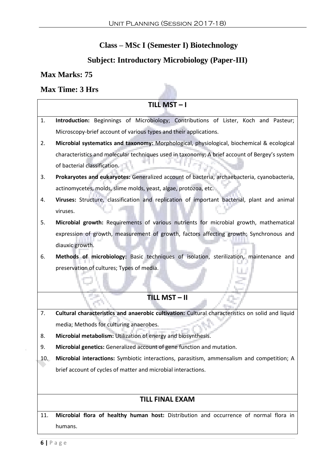# **Class – MSc I (Semester I) Biotechnology**

# **Subject: Introductory Microbiology (Paper-III)**

h.

## **Max Marks: 75**

#### **Max Time: 3 Hrs**

| <b>TILL MST-I</b>                                                                                      |  |  |
|--------------------------------------------------------------------------------------------------------|--|--|
| Introduction: Beginnings of Microbiology; Contributions of Lister, Koch and Pasteur;<br>1.             |  |  |
| Microscopy-brief account of various types and their applications.                                      |  |  |
| Microbial systematics and taxonomy: Morphological, physiological, biochemical & ecological<br>2.       |  |  |
| characteristics and molecular techniques used in taxonomy; A brief account of Bergey's system          |  |  |
| of bacterial classification.                                                                           |  |  |
| Prokaryotes and eukaryotes: Generalized account of bacteria, archaebacteria, cyanobacteria,<br>3.      |  |  |
| actinomycetes, molds, slime molds, yeast, algae, protozoa, etc.                                        |  |  |
| Viruses: Structure, classification and replication of important bacterial, plant and animal<br>4.      |  |  |
| viruses.                                                                                               |  |  |
| Microbial growth: Requirements of various nutrients for microbial growth, mathematical<br>5.           |  |  |
| expression of growth, measurement of growth, factors affecting growth; Synchronous and                 |  |  |
| diauxic growth.                                                                                        |  |  |
| Methods of microbiology: Basic techniques of isolation, sterilization, maintenance and                 |  |  |
| preservation of cultures; Types of media.                                                              |  |  |
|                                                                                                        |  |  |
|                                                                                                        |  |  |
| <b>TILL MST-II</b>                                                                                     |  |  |
| Cultural characteristics and anaerobic cultivation: Cultural characteristics on solid and liquid<br>7. |  |  |
| media; Methods for culturing anaerobes.                                                                |  |  |
| Microbial metabolism: Utilization of energy and biosynthesis.<br>8.                                    |  |  |
| Microbial genetics: Generalized account of gene function and mutation.<br>9.                           |  |  |
| Microbial interactions: Symbiotic interactions, parasitism, ammensalism and competition; A<br>10.      |  |  |
| brief account of cycles of matter and microbial interactions.                                          |  |  |
|                                                                                                        |  |  |
| <b>TILL FINAL EXAM</b>                                                                                 |  |  |
|                                                                                                        |  |  |
| Microbial flora of healthy human host: Distribution and occurrence of normal flora in<br>11.           |  |  |
| humans.                                                                                                |  |  |

 $\bar{4}$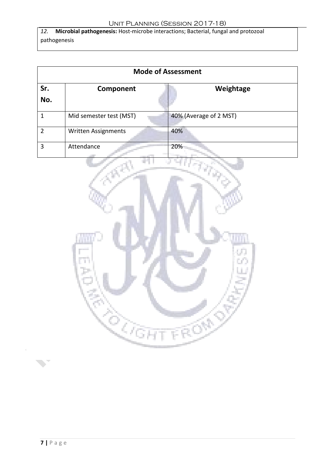*12.* **Microbial pathogenesis:** Host-microbe interactions; Bacterial, fungal and protozoal pathogenesis

| <b>Mode of Assessment</b> |                            |                        |
|---------------------------|----------------------------|------------------------|
| Sr.<br>No.                | Component                  | Weightage              |
|                           | Mid semester test (MST)    | 40% (Average of 2 MST) |
| $\mathfrak{p}$            | <b>Written Assignments</b> | 40%                    |
| 3                         | Attendance                 | 20%                    |



 $\overline{4}$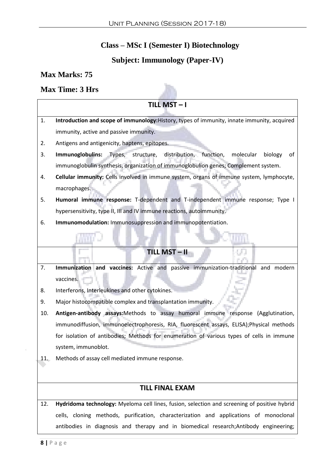# **Class – MSc I (Semester I) Biotechnology**

# **Subject: Immunology (Paper-IV)**

## **Max Marks: 75**

#### **Max Time: 3 Hrs**

|       | TILL MST-I                                                                                   |  |  |
|-------|----------------------------------------------------------------------------------------------|--|--|
| 1.    | Introduction and scope of immunology: History, types of immunity, innate immunity, acquired  |  |  |
|       | immunity, active and passive immunity.                                                       |  |  |
| 2.    | Antigens and antigenicity, haptens, epitopes.                                                |  |  |
| 3.    | Types, structure, distribution, function,<br>Immunoglobulins:<br>molecular<br>biology<br>of  |  |  |
|       | immunoglobulin synthesis, organization of immunoglobulion genes; Complement system.          |  |  |
| 4.    | Cellular immunity: Cells involved in immune system, organs of immune system, lymphocyte,     |  |  |
|       | macrophages.                                                                                 |  |  |
| 5.    | Humoral immune response: T-dependent and T-independent immune response; Type I               |  |  |
|       | hypersensitivity, type II, III and IV immune reactions, autoimmunity.                        |  |  |
| 6.    | Immunomodulation: Immunosuppression and immunopotentiation.                                  |  |  |
|       |                                                                                              |  |  |
|       |                                                                                              |  |  |
|       | TILL MST-II                                                                                  |  |  |
| 7.    | Immunization and vaccines: Active and passive immunization-traditional and modern            |  |  |
|       | vaccines.                                                                                    |  |  |
| 8.    | Interferons, Interleukines and other cytokines.                                              |  |  |
| 9.    | Major histocompatible complex and transplantation immunity.                                  |  |  |
| 10.   | Antigen-antibody assays:Methods to assay humoral immune response (Agglutination,             |  |  |
|       | immunodiffusion, immunoelectrophoresis, RIA, fluorescent assays, ELISA); Physical methods    |  |  |
|       | for isolation of antibodies; Methods for enumeration of various types of cells in immune     |  |  |
|       | system, immunoblot.                                                                          |  |  |
| $11-$ | Methods of assay cell mediated immune response.                                              |  |  |
|       |                                                                                              |  |  |
|       | <b>TILL FINAL EXAM</b>                                                                       |  |  |
| 12.   | Hydridoma technology: Myeloma cell lines, fusion, selection and screening of positive hybrid |  |  |
|       | cells, cloning methods, purification, characterization and applications of monoclonal        |  |  |
|       |                                                                                              |  |  |
|       | antibodies in diagnosis and therapy and in biomedical research; Antibody engineering;        |  |  |

 $\bar{A}$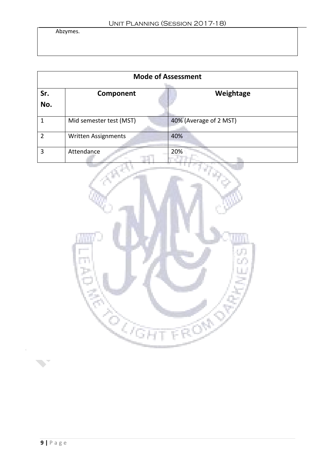Abzymes.

| <b>Mode of Assessment</b> |                            |                        |
|---------------------------|----------------------------|------------------------|
| Sr.<br>No.                | Component                  | Weightage              |
| 1                         | Mid semester test (MST)    | 40% (Average of 2 MST) |
| 2                         | <b>Written Assignments</b> | 40%                    |
| 3                         | Attendance                 | 20%                    |



 $\hat{\mathcal{A}}$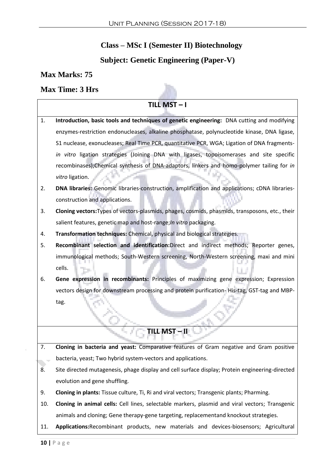# **Class – MSc I (Semester II) Biotechnology**

# **Subject: Genetic Engineering (Paper-V)**

## **Max Marks: 75**

## **Max Time: 3 Hrs**

|     | TILL MST-I                                                                                      |
|-----|-------------------------------------------------------------------------------------------------|
| 1.  | Introduction, basic tools and techniques of genetic engineering: DNA cutting and modifying      |
|     | enzymes-restriction endonucleases, alkaline phosphatase, polynucleotide kinase, DNA ligase,     |
|     | S1 nuclease, exonucleases; Real Time PCR, quantitative PCR, WGA; Ligation of DNA fragments-     |
|     | in vitro ligation strategies (Joining DNA with ligases, topoisomerases and site specific        |
|     | recombinases);Chemical synthesis of DNA-adaptors, linkers and homo-polymer tailing for in       |
|     | vitro ligation.                                                                                 |
| 2.  | DNA libraries: Genomic libraries-construction, amplification and applications; cDNA libraries-  |
|     | construction and applications.                                                                  |
| 3.  | Cloning vectors: Types of vectors-plasmids, phages, cosmids, phasmids, transposons, etc., their |
|     | salient features, genetic map and host-range; In vitro packaging.                               |
| 4.  | Transformation techniques: Chemical, physical and biological strategies.                        |
| 5.  | Recombinant selection and identification:Direct and indirect methods; Reporter genes,           |
|     | immunological methods; South-Western screening, North-Western screening, maxi and mini          |
|     | cells.                                                                                          |
| 6.  | Gene expression in recombinants: Principles of maximizing gene expression; Expression           |
|     | vectors design for downstream processing and protein purification-His-tag, GST-tag and MBP-     |
|     | tag.                                                                                            |
|     | U                                                                                               |
|     | TILL MST-II                                                                                     |
| 7.  | Cloning in bacteria and yeast: Comparative features of Gram negative and Gram positive          |
|     | bacteria, yeast; Two hybrid system-vectors and applications.                                    |
| 8.  | Site directed mutagenesis, phage display and cell surface display; Protein engineering-directed |
|     | evolution and gene shuffling.                                                                   |
| 9.  | Cloning in plants: Tissue culture, Ti, Ri and viral vectors; Transgenic plants; Pharming.       |
| 10. | Cloning in animal cells: Cell lines, selectable markers, plasmid and viral vectors; Transgenic  |
|     | animals and cloning; Gene therapy-gene targeting, replacementand knockout strategies.           |
| 11. | Applications: Recombinant products, new materials and devices-biosensors; Agricultural          |

 $\overline{4}$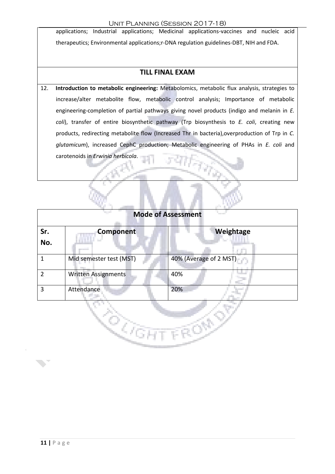applications; Industrial applications; Medicinal applications-vaccines and nucleic acid therapeutics; Environmental applications;r-DNA regulation guidelines-DBT, NIH and FDA.

#### **TILL FINAL EXAM**

12. **Introduction to metabolic engineering:** Metabolomics, metabolic flux analysis, strategies to increase/alter metabolite flow, metabolic control analysis; Importance of metabolic engineering-completion of partial pathways giving novel products (indigo and melanin in *E. coli*), transfer of entire biosynthetic pathway (Trp biosynthesis to *E. coli*, creating new products, redirecting metabolite flow (Increased Thr in bacteria),overproduction of Trp in *C. glutamicum*), increased CephC production; Metabolic engineering of PHAs in *E. coli* and carotenoids in *Erwinia herbicola*.

W.

|                | <b>Mode of Assessment</b> |                        |  |
|----------------|---------------------------|------------------------|--|
| Sr.<br>No.     | <b>Component</b>          | Weightage              |  |
| 1              | Mid semester test (MST)   | 40% (Average of 2 MST) |  |
| $\overline{2}$ | Written Assignments       | 40%                    |  |
| 3              | Attendance                | 20%                    |  |
|                |                           |                        |  |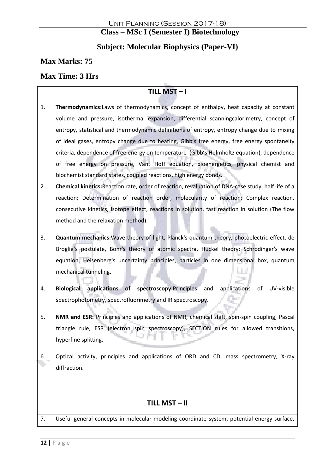## **Class – MSc I (Semester I) Biotechnology**

## **Subject: Molecular Biophysics (Paper-VI)**

## **Max Marks: 75**

## **Max Time: 3 Hrs**

## $TILL MST - I$

- 1. **Thermodynamics:**Laws of thermodynamics, concept of enthalpy, heat capacity at constant volume and pressure, isothermal expansion, differential scanningcalorimetry, concept of entropy, statistical and thermodynamic definitions of entropy, entropy change due to mixing of ideal gases, entropy change due to heating, Gibb's free energy, free energy spontaneity criteria, dependence of free energy on temperature (Gibb's Helmholtz equation), dependence of free energy on pressure, Vant Hoff equation, bioenergetics, physical chemist and biochemist standard states, coupled reactions, high energy bonds.
- 2. **Chemical kinetics:**Reaction rate, order of reaction, revaluation of DNA-case study, half life of a reaction; Determination of reaction order, molecularity of reaction; Complex reaction, consecutive kinetics, isotope effect, reactions in solution, fast reaction in solution (The flow method and the relaxation method).
- 3. **Quantum mechanics:**Wave theory of light, Planck's quantum theory, photoelectric effect, de Broglie's postulate, Bohr's theory of atomic spectra, Huckel theory; Schrodinger's wave equation, Heisenberg's uncertainty principles, particles in one dimensional box, quantum mechanical tunneling.
- 4. **Biological applications of spectroscopy:**Principles and applications of UV-visible spectrophotometry, spectrofluorimetry and IR spectroscopy.
- 5. **NMR and ESR:** Principles and applications of NMR, chemical shift, spin-spin coupling, Pascal triangle rule, ESR (electron spin spectroscopy), SECTION rules for allowed transitions, hyperfine splitting.
- 6. Optical activity, principles and applications of ORD and CD, mass spectrometry, X-ray diffraction.

## **TILL MST – II**

7. Useful general concepts in molecular modeling coordinate system, potential energy surface,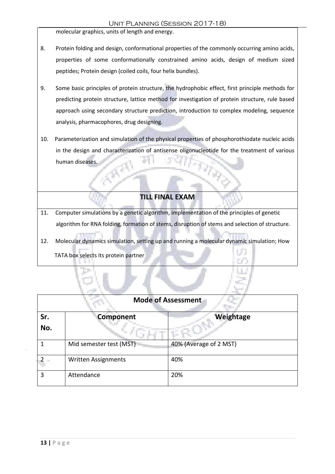#### Unit Planning (Session 2017-18)

molecular graphics, units of length and energy.

- 8. Protein folding and design, conformational properties of the commonly occurring amino acids, properties of some conformationally constrained amino acids, design of medium sized peptides; Protein design (coiled coils, four helix bundles).
- 9. Some basic principles of protein structure, the hydrophobic effect, first principle methods for predicting protein structure, lattice method for investigation of protein structure, rule based approach using secondary structure prediction, introduction to complex modeling, sequence analysis, pharmacophores, drug designing.
- 10. Parameterization and simulation of the physical properties of phosphorothiodate nucleic acids in the design and characterization of antisense oligonucleotide for the treatment of various human diseases.

#### **TILL FINAL EXAM**

- 11. Computer simulations by a genetic algorithm, implementation of the principles of genetic algorithm for RNA folding, formation of stems, disruption of stems and selection of structure.
- 12. Molecular dynamics simulation, setting up and running a molecular dynamic simulation; How TATA box selects its protein partner

| <b>Mode of Assessment</b> |                            |                        |
|---------------------------|----------------------------|------------------------|
| Sr.                       | Component                  | Weightage              |
| No.                       |                            |                        |
|                           | Mid semester test (MST)    | 40% (Average of 2 MST) |
|                           | <b>Written Assignments</b> | 40%                    |
| ς                         | Attendance                 | 20%                    |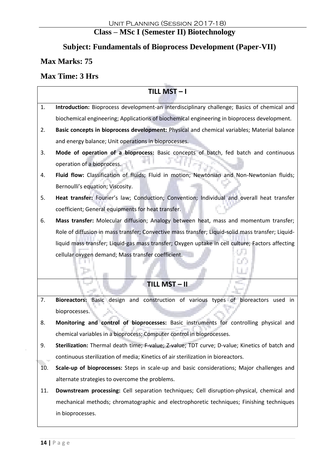# **Class – MSc I (Semester II) Biotechnology**

# **Subject: Fundamentals of Bioprocess Development (Paper-VII)**

## **Max Marks: 75**

## **Max Time: 3 Hrs**

|     | TILL MST-I                                                                                        |  |  |  |
|-----|---------------------------------------------------------------------------------------------------|--|--|--|
| 1.  | Introduction: Bioprocess development-an interdisciplinary challenge; Basics of chemical and       |  |  |  |
|     | biochemical engineering; Applications of biochemical engineering in bioprocess development.       |  |  |  |
| 2.  | Basic concepts in bioprocess development: Physical and chemical variables; Material balance       |  |  |  |
|     | and energy balance; Unit operations in bioprocesses.                                              |  |  |  |
| 3.  | Mode of operation of a bioprocess: Basic concepts of batch, fed batch and continuous              |  |  |  |
|     | operation of a bioprocess.                                                                        |  |  |  |
| 4.  | Fluid flow: Classification of fluids; Fluid in motion; Newtonian and Non-Newtonian fluids;        |  |  |  |
|     | Bernoulli's equation; Viscosity.                                                                  |  |  |  |
| 5.  | Heat transfer: Fourier's law; Conduction; Convention; Individual and overall heat transfer        |  |  |  |
|     | coefficient; General equipments for heat transfer.                                                |  |  |  |
| 6.  | Mass transfer: Molecular diffusion; Analogy between heat, mass and momentum transfer;             |  |  |  |
|     | Role of diffusion in mass transfer; Convective mass transfer; Liquid-solid mass transfer; Liquid- |  |  |  |
|     | liquid mass transfer; Liquid-gas mass transfer; Oxygen uptake in cell culture; Factors affecting  |  |  |  |
|     | cellular oxygen demand; Mass transfer coefficient.                                                |  |  |  |
|     |                                                                                                   |  |  |  |
|     | TILL MST-II                                                                                       |  |  |  |
|     |                                                                                                   |  |  |  |
| 7.  | Bioreactors: Basic design and construction of various types of bioreactors used in                |  |  |  |
|     | bioprocesses.                                                                                     |  |  |  |
| 8.  | Monitoring and control of bioprocesses: Basic instruments for controlling physical and            |  |  |  |
|     | chemical variables in a bioprocess; Computer control in bioprocesses.                             |  |  |  |
| 9.  | Sterilization: Thermal death time; F-value; Z-value; TDT curve; D-value; Kinetics of batch and    |  |  |  |
|     | continuous sterilization of media; Kinetics of air sterilization in bioreactors.                  |  |  |  |
| 10. | Scale-up of bioprocesses: Steps in scale-up and basic considerations; Major challenges and        |  |  |  |
|     | alternate strategies to overcome the problems.                                                    |  |  |  |
| 11. | Downstream processing: Cell separation techniques; Cell disruption-physical, chemical and         |  |  |  |
|     | mechanical methods; chromatographic and electrophoretic techniques; Finishing techniques          |  |  |  |
|     | in bioprocesses.                                                                                  |  |  |  |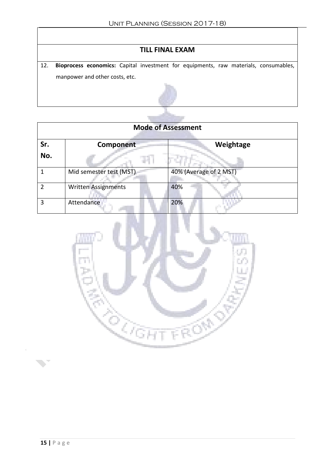## **TILL FINAL EXAM**

12. **Bioprocess economics:** Capital investment for equipments, raw materials, consumables, manpower and other costs, etc.



| <b>Mode of Assessment</b> |                            |                        |
|---------------------------|----------------------------|------------------------|
| Sr.<br>No.                | Component                  | Weightage              |
|                           | Mid semester test (MST)    | 40% (Average of 2 MST) |
|                           | <b>Written Assignments</b> | 40%                    |
| 3                         | Attendance                 | 20%                    |

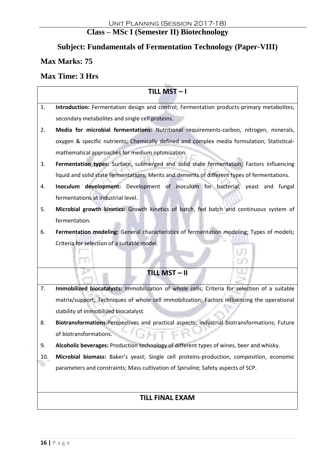# **Class – MSc I (Semester II) Biotechnology**

# **Subject: Fundamentals of Fermentation Technology (Paper-VIII)**

## **Max Marks: 75**

## **Max Time: 3 Hrs**

|     | TILL MST-I                                                                                     |  |  |
|-----|------------------------------------------------------------------------------------------------|--|--|
| 1.  | Introduction: Fermentation design and control; Fermentation products-primary metabolites,      |  |  |
|     | secondary metabolites and single cell proteins.                                                |  |  |
| 2.  | Media for microbial fermentations: Nutritional requirements-carbon, nitrogen, minerals,        |  |  |
|     | oxygen & specific nutrients; Chemically defined and complex media formulation; Statistical-    |  |  |
|     | mathematical approaches for medium optimization.                                               |  |  |
| 3.  | Fermentation types: Surface, submerged and solid state fermentation; Factors influencing       |  |  |
|     | liquid and solid state fermentations; Merits and demerits of different types of fermentations. |  |  |
| 4.  | Inoculum development: Development of inoculum for bacterial, yeast and fungal                  |  |  |
|     | fermentations at industrial level.                                                             |  |  |
| 5.  | Microbial growth kinetics: Growth kinetics of batch, fed batch and continuous system of        |  |  |
|     | fermentation.                                                                                  |  |  |
| 6.  | Fermentation modeling: General characteristics of fermentation modeling; Types of models;      |  |  |
|     | Criteria for selection of a suitable model.                                                    |  |  |
|     | UC.                                                                                            |  |  |
|     | <b>TILL MST-II</b>                                                                             |  |  |
| 7.  | Immobilized biocatalysts: Immobilization of whole cells; Criteria for selection of a suitable  |  |  |
|     | matrix/support; Techniques of whole cell immobilization; Factors influencing the operational   |  |  |
|     | stability of immobilized biocatalyst.                                                          |  |  |
| 8.  | Biotransformations:Perspectives and practical aspects; Industrial biotransformations; Future   |  |  |
|     | of biotransformations.                                                                         |  |  |
| 9.  | Alcoholic beverages: Production technology of different types of wines, beer and whisky.       |  |  |
| 10. | Microbial biomass: Baker's yeast; Single cell proteins-production, composition, economic       |  |  |
|     | parameters and constraints; Mass cultivation of Spirulina; Safety aspects of SCP.              |  |  |
|     |                                                                                                |  |  |
|     |                                                                                                |  |  |
|     | <b>TILL FINAL EXAM</b>                                                                         |  |  |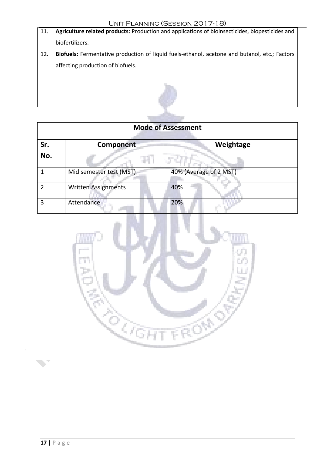- 11. **Agriculture related products:** Production and applications of bioinsecticides, biopesticides and biofertilizers.
- 12. **Biofuels:** Fermentative production of liquid fuels-ethanol, acetone and butanol, etc.; Factors affecting production of biofuels.



| <b>Mode of Assessment</b> |                            |                        |
|---------------------------|----------------------------|------------------------|
| Sr.                       | Component                  | Weightage              |
| No.                       |                            |                        |
|                           | Mid semester test (MST)    | 40% (Average of 2 MST) |
| າ                         | <b>Written Assignments</b> | 40%                    |
| 3                         | Attendance                 | 20%                    |

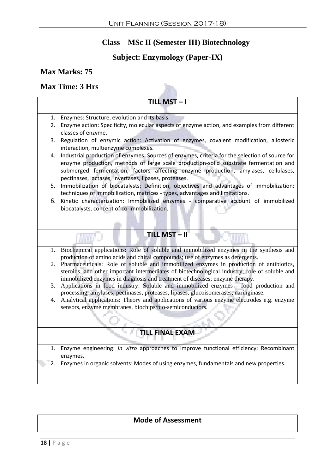## **Class – MSc II (Semester III) Biotechnology**

## **Subject: Enzymology (Paper-IX)**

#### **Max Marks: 75**

#### **Max Time: 3 Hrs**

#### $TIII$  MST  $-1$

- 1. Enzymes: Structure, evolution and its basis. 2. Enzyme action: Specificity, molecular aspects of enzyme action, and examples from different classes of enzyme. 3. Regulation of enzymic action: Activation of enzymes, covalent modification, allosteric interaction, multienzyme complexes. 4. Industrial production of enzymes: Sources of enzymes, criteria for the selection of source for enzyme production, methods of large scale production-solid substrate fermentation and submerged fermentation, factors affecting enzyme production, amylases, cellulases, pectinases, lactases, invertases, lipases, proteases. 5. Immobilization of biocatalysts: Definition, objectives and advantages of immobilization; techniques of immobilization, matrices - types, advantages and limitations. 6. Kinetic characterization: Immobilized enzymes - comparative account of immobilized biocatalysts, concept of co-immobilization. **TILL MST – II** 1. Biochemical applications: Role of soluble and immobilized enzymes in the synthesis and production of amino acids and chiral compounds; use of enzymes as detergents. 2. Pharmaceuticals: Role of soluble and immobilized enzymes in production of antibiotics, steroids, and other important intermediates of biotechnological industry; role of soluble and immobilized enzymes in diagnosis and treatment of diseases; enzyme therapy. 3. Applications in food industry: Soluble and immobilized enzymes - food production and processing, amylases, pectinases, proteases, lipases, glucoisomerases, naringinase. 4. Analytical applications: Theory and applications of various enzyme electrodes e.g. enzyme sensors, enzyme membranes, biochips/bio-semiconductors. **TILL FINAL EXAM** 1. Enzyme engineering: *In vitro* approaches to improve functional efficiency; Recombinant enzymes.
	- 2. Enzymes in organic solvents: Modes of using enzymes, fundamentals and new properties.

#### **Mode of Assessment**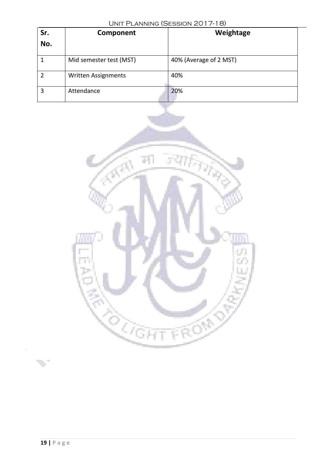| Sr.<br>No.     | Component                  | Weightage              |
|----------------|----------------------------|------------------------|
|                | Mid semester test (MST)    | 40% (Average of 2 MST) |
| $\overline{2}$ | <b>Written Assignments</b> | 40%                    |
| 3              | Attendance                 | 20%                    |



 $\bar{\psi}$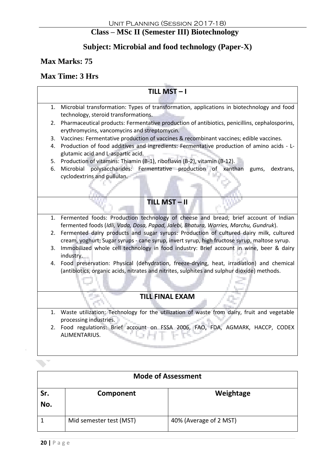## **Class – MSc II (Semester III) Biotechnology**

## **Subject: Microbial and food technology (Paper-X)**

**Max Marks: 75**

#### **Max Time: 3 Hrs**

# $TILL MST - I$ 1. Microbial transformation: Types of transformation, applications in biotechnology and food technology, steroid transformations. 2. Pharmaceutical products: Fermentative production of antibiotics, penicillins, cephalosporins, erythromycins, vancomycins and streptomycin. 3. Vaccines: Fermentative production of vaccines & recombinant vaccines; edible vaccines. 4. Production of food additives and ingredients: Fermentative production of amino acids - Lglutamic acid and L-aspartic acid. 5. Production of vitamins: Thiamin (B-1), riboflavin (B-2), vitamin (B-12). 6. Microbial polysaccharides: Fermentative production of xanthan gums, dextrans, cyclodextrins and pullulan. **TILL MST – II** 1. Fermented foods: Production technology of cheese and bread; brief account of Indian fermented foods (*Idli, Vada, Dosa, Papad, Jalebi, Bhatura, Warries, Marchu, Gundruk*). 2. Fermented dairy products and sugar syrups: Production of cultured dairy milk, cultured cream, yoghurt; Sugar syrups - cane syrup, invert syrup, high fructose syrup, maltose syrup. 3. Immobilized whole cell technology in food industry: Brief account in wine, beer & dairy industry. 4. Food preservation: Physical (dehydration, freeze-drying, heat, irradiation) and chemical (antibiotics, organic acids, nitrates and nitrites, sulphites and sulphur dioxide) methods. **TILL FINAL EXAM** 1. Waste utilization: Technology for the utilization of waste from dairy, fruit and vegetable processing industries. 2. Food regulations: Brief account on FSSA 2006, FAO, FDA, AGMARK, HACCP, CODEX ALIMENTARIUS.

| <b>Mode of Assessment</b> |                         |                        |
|---------------------------|-------------------------|------------------------|
| Sr.<br>No.                | Component               | Weightage              |
|                           | Mid semester test (MST) | 40% (Average of 2 MST) |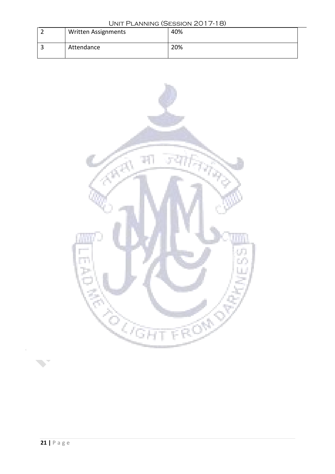| UNIT PLANNING (SESSION 2017-18) |                            |     |
|---------------------------------|----------------------------|-----|
|                                 | <b>Written Assignments</b> | 40% |
|                                 |                            |     |
|                                 | Attendance                 | 20% |
|                                 |                            |     |



 $\bar{4}$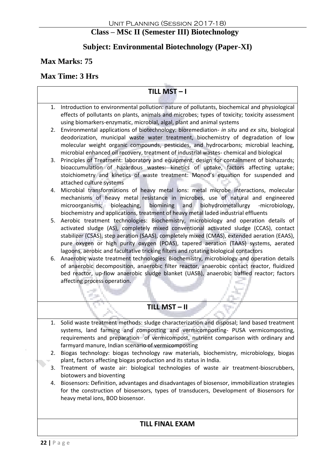## **Class – MSc II (Semester III) Biotechnology**

## **Subject: Environmental Biotechnology (Paper-XI)**

**Max Marks: 75**

## **Max Time: 3 Hrs**

## **TILL MST – I** 1. Introduction to environmental pollution: nature of pollutants, biochemical and physiological effects of pollutants on plants, animals and microbes; types of toxicity; toxicity assessment using biomarkers-enzymatic, microbial, algal, plant and animal systems 2. Environmental applications of biotechnology: bioremediation- *in situ* and *ex situ*, biological deodorization, municipal waste water treatment, biochemistry of degradation of low molecular weight organic compounds, pesticides, and hydrocarbons; microbial leaching, microbial enhanced oil recovery, treatment of industrial wastes- chemical and biological 3. Principles of Treatment: laboratory and equipment, design for containment of biohazards; bioaccumulation of hazardous wastes: kinetics of uptake, factors affecting uptake; stoichiometry and kinetics of waste treatment: Monod's equation for suspended and attached culture systems 4. Microbial transformations of heavy metal ions: metal microbe interactions, molecular mechanisms of heavy metal resistance in microbes, use of natural and engineered microorganisms; bioleaching, biomining and biohydrometallurgy -microbiology, biochemistry and applications, treatment of heavy metal laded industrial effluents 5. Aerobic treatment technologies: Biochemistry, microbiology and operation details of activated sludge (AS), completely mixed conventional activated sludge (CCAS), contact stabilizer (CSAS), step aeration (SAAS), completely mixed (CMAS), extended aeration (EAAS), pure oxygen or high purity oxygen (POAS), tapered aeration (TAAS) systems, aerated lagoons, aerobic and facultative tricking filters and rotating biological contactors 6. Anaerobic waste treatment technologies: Biochemistry, microbiology and operation details of anaerobic decomposition, anaerobic filter reactor, anaerobic contact reactor, fluidized bed reactor, up-flow anaerobic sludge blanket (UASB), anaerobic baffled reactor; factors affecting process operation. **TILL MST – II** 1. Solid waste treatment methods: sludge characterization and disposal; land based treatment systems, land farming and composting and vermicomposting- PUSA vermicomposting, requirements and preparation of vermicompost, nutrient comparison with ordinary and farmyard manure, Indian scenario of vermicomposting 2. Biogas technology: biogas technology raw materials, biochemistry, microbiology, biogas plant, factors affecting biogas production and its status in India. 3. Treatment of waste air: biological technologies of waste air treatment-bioscrubbers, biotowers and bioventing 4. Biosensors: Definition, advantages and disadvantages of biosensor, immobilization strategies for the construction of biosensors, types of transducers, Development of Biosensors for heavy metal ions, BOD biosensor.

#### **TILL FINAL EXAM**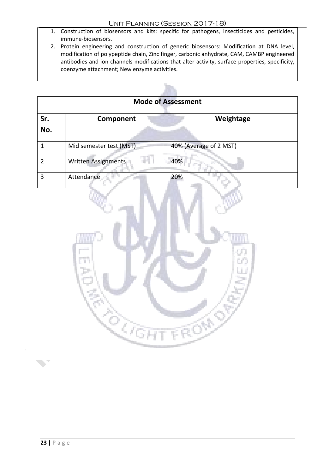- 1. Construction of biosensors and kits: specific for pathogens, insecticides and pesticides, immune-biosensors.
- 2. Protein engineering and construction of generic biosensors: Modification at DNA level, modification of polypeptide chain, Zinc finger, carbonic anhydrate, CAM, CAMBP engineered antibodies and ion channels modifications that alter activity, surface properties, specificity, coenzyme attachment; New enzyme activities.

Ъ'n.

| <b>Mode of Assessment</b> |                            |                        |
|---------------------------|----------------------------|------------------------|
| Sr.<br>No.                | Component                  | Weightage              |
|                           | Mid semester test (MST)    | 40% (Average of 2 MST) |
|                           | <b>Written Assignments</b> | 40%                    |
| 3                         | Attendance                 | 20%                    |

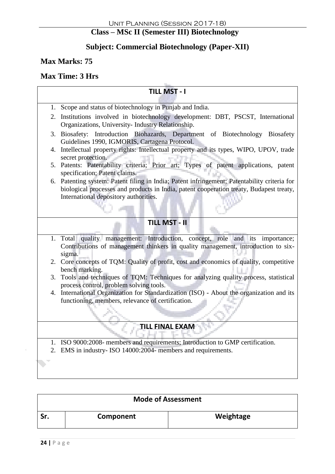# **Class – MSc II (Semester III) Biotechnology**

## **Subject: Commercial Biotechnology (Paper-XII)**

#### **Max Marks: 75**

#### **Max Time: 3 Hrs**

#### **TILL MST - I**

- 1. Scope and status of biotechnology in Punjab and India. 2. Institutions involved in biotechnology development: DBT, PSCST, International Organizations, University- Industry Relationship.
	- 3. Biosafety: Introduction Biohazards, Department of Biotechnology Biosafety Guidelines 1990, IGMORIS, Cartagena Protocol.
	- 4. Intellectual property rights: Intellectual property and its types, WIPO, UPOV, trade secret protection.
	- 5. Patents: Patentability criteria; Prior art; Types of patent applications, patent specification; Patent claims.
	- 6. Patenting system: Patent filing in India; Patent infringement; Patentability criteria for biological processes and products in India, patent cooperation treaty, Budapest treaty, International depository authorities.

#### **TILL MST - II**

- 1. Total quality management: Introduction, concept, role and its importance; Contributions of management thinkers in quality management, introduction to sixsigma.
- 2. Core concepts of TQM: Quality of profit, cost and economics of quality, competitive bench marking.
- 3. Tools and techniques of TQM: Techniques for analyzing quality process, statistical process control, problem solving tools.
- 4. International Organization for Standardization (ISO) About the organization and its functioning, members, relevance of certification.

## **TILL FINAL EXAM**

- 1. ISO 9000:2008- members and requirements; Introduction to GMP certification.
- 2. EMS in industry- ISO 14000:2004- members and requirements.

| <b>Mode of Assessment</b> |           |           |
|---------------------------|-----------|-----------|
| Sr                        | Component | Weightage |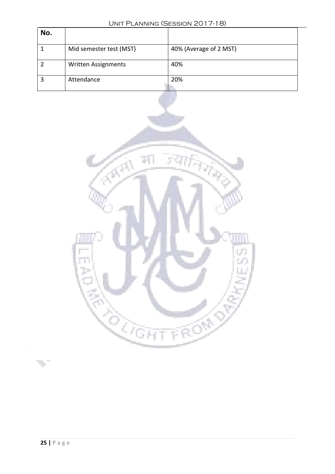| No.            |                         |                        |
|----------------|-------------------------|------------------------|
| $\mathbf 1$    | Mid semester test (MST) | 40% (Average of 2 MST) |
| $\overline{2}$ | Written Assignments     | 40%                    |
| $\overline{3}$ | Attendance              | 20%                    |
|                |                         |                        |
|                |                         |                        |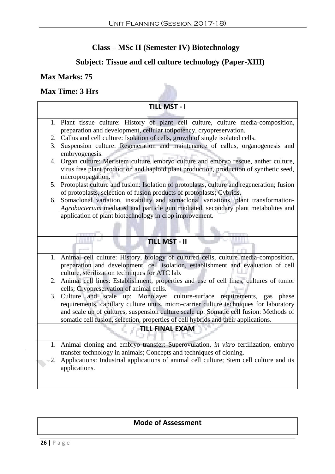## **Class – MSc II (Semester IV) Biotechnology**

## **Subject: Tissue and cell culture technology (Paper-XIII)**

#### **Max Marks: 75**

#### **Max Time: 3 Hrs**

#### **TILL MST - I**

- 1. Plant tissue culture: History of plant cell culture, culture media-composition, preparation and development, cellular totipotency, cryopreservation.
- 2. Callus and cell culture: Isolation of cells, growth of single isolated cells.
- 3. Suspension culture: Regeneration and maintenance of callus, organogenesis and embryogenesis.
- 4. Organ culture: Meristem culture, embryo culture and embryo rescue, anther culture, virus free plant production and haploid plant production, production of synthetic seed, micropropagation.
- 5. Protoplast culture and fusion: Isolation of protoplasts, culture and regeneration; fusion of protoplasts, selection of fusion products of protoplasts; Cybrids.
- 6. Somaclonal variation, instability and somaclonal variations, plant transformation-*Agrobacterium* mediated and particle gun mediated, secondary plant metabolites and application of plant biotechnology in crop improvement.
	- **TILL MST - II**
- 1. Animal cell culture: History, biology of cultured cells, culture media-composition, preparation and development, cell isolation, establishment and evaluation of cell culture, sterilization techniques for ATC lab.
- 2. Animal cell lines: Establishment, properties and use of cell lines, cultures of tumor cells; Cryopreservation of animal cells.
- 3. Culture and scale up: Monolayer culture-surface requirements, gas phase requirements, capillary culture units, micro-carrier culture techniques for laboratory and scale up of cultures, suspension culture scale up. Somatic cell fusion: Methods of somatic cell fusion, selection, properties of cell hybrids and their applications.

#### **TILL FINAL EXAM**

- 1. Animal cloning and embryo transfer: Superovulation, *in vitro* fertilization, embryo transfer technology in animals; Concepts and techniques of cloning.
- 2. Applications: Industrial applications of animal cell culture; Stem cell culture and its applications.

#### **Mode of Assessment**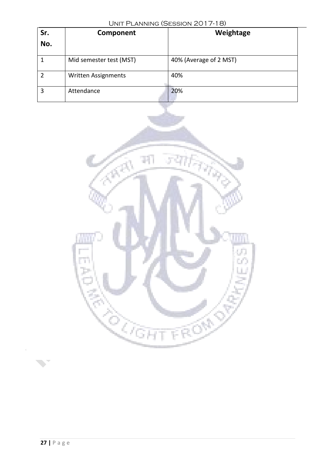| Sr.<br>No.     | Component                  | Weightage              |
|----------------|----------------------------|------------------------|
|                | Mid semester test (MST)    | 40% (Average of 2 MST) |
| $\overline{2}$ | <b>Written Assignments</b> | 40%                    |
| 3              | Attendance                 | 20%                    |



 $\bar{\psi}$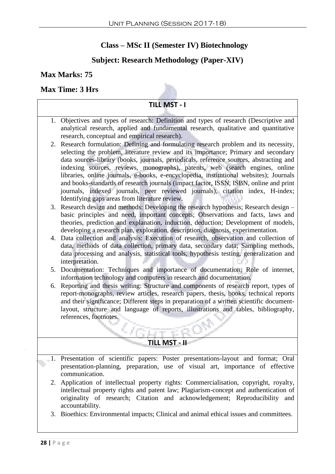## **Class – MSc II (Semester IV) Biotechnology**

## **Subject: Research Methodology (Paper-XIV)**

#### **Max Marks: 75**

#### **Max Time: 3 Hrs**



- 1. Objectives and types of research: Definition and types of research (Descriptive and analytical research, applied and fundamental research, qualitative and quantitative research, conceptual and empirical research).
- 2. Research formulation: Defining and formulating research problem and its necessity, selecting the problem, literature review and its importance; Primary and secondary data sources-library (books, journals, periodicals, reference sources, abstracting and indexing sources, reviews, monographs), patents, web (search engines, online libraries, online journals, e-books, e-encyclopedia, institutional websites); Journals and books-standards of research journals (impact factor, ISSN, ISBN, online and print journals, indexed journals, peer reviewed journals), citation index, H-index; Identifying gaps areas from literature review.
- 3. Research design and methods: Developing the research hypothesis; Research design basic principles and need, important concepts; Observations and facts, laws and theories, prediction and explanation, induction, deduction; Development of models, developing a research plan, exploration, description, diagnosis, experimentation.
- 4. Data collection and analysis: Execution of research, observation and collection of data, methods of data collection, primary data, secondary data; Sampling methods, data processing and analysis, statistical tools, hypothesis testing, generalization and interpretation.
- 5. Documentation: Techniques and importance of documentation; Role of internet, information technology and computers in research and documentation.
- 6. Reporting and thesis writing: Structure and components of research report, types of report-monographs, review articles, research papers, thesis, books, technical reports and their significance; Different steps in preparation of a written scientific documentlayout, structure and language of reports, illustrations and tables, bibliography, references, footnotes.

## **TILL MST - II**

- 1. Presentation of scientific papers: Poster presentations-layout and format; Oral presentation-planning, preparation, use of visual art, importance of effective communication.
- 2. Application of intellectual property rights: Commercialisation, copyright, royalty, intellectual property rights and patent law; Plagiarism-concept and authentication of originality of research; Citation and acknowledgement; Reproducibility and accountability.
- 3. Bioethics: Environmental impacts; Clinical and animal ethical issues and committees.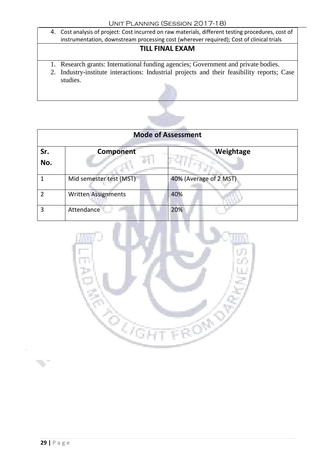4. Cost analysis of project: Cost incurred on raw materials, different testing procedures, cost of instrumentation, downstream processing cost (wherever required); Cost of clinical trials

## **TILL FINAL EXAM**

- 1. Research grants: International funding agencies; Government and private bodies.
- 2. Industry-institute interactions: Industrial projects and their feasibility reports; Case studies.



| <b>Mode of Assessment</b> |                         |                        |
|---------------------------|-------------------------|------------------------|
| Sr.<br>No.                | Component               | Weightage              |
|                           | Mid semester test (MST) | 40% (Average of 2 MST) |
| 2                         | Written Assignments     | 40%                    |
| 3                         | Attendance              | 20%                    |

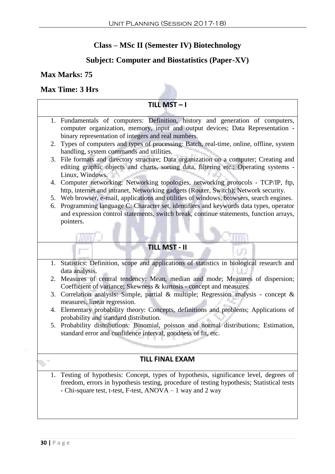# **Class – MSc II (Semester IV) Biotechnology**

# **Subject: Computer and Biostatistics (Paper-XV)**

## **Max Marks: 75**

## **Max Time: 3 Hrs**

|    | TILL MST-I                                                                                                                                                                       |
|----|----------------------------------------------------------------------------------------------------------------------------------------------------------------------------------|
|    |                                                                                                                                                                                  |
|    | 1. Fundamentals of computers: Definition, history and generation of computers,<br>computer organization, memory, input and output devices; Data Representation -                 |
|    | binary representation of integers and real numbers.                                                                                                                              |
| 2. | Types of computers and types of processing: Batch, real-time, online, offline, system                                                                                            |
|    | handling, system commands and utilities.                                                                                                                                         |
|    | 3. File formats and directory structure; Data organization on a computer; Creating and                                                                                           |
|    | editing graphic objects and charts, sorting data, filtering etc.; Operating systems -                                                                                            |
|    | Linux, Windows.                                                                                                                                                                  |
|    | 4. Computer networking: Networking topologies, networking protocols - TCP/IP, ftp,                                                                                               |
|    | http, internet and intranet, Networking gadgets (Router, Switch); Network security.<br>5. Web browser, e-mail, applications and utilities of windows, browsers, search engines.  |
| 6. | Programming language C: Character set, identifiers and keywords data types, operator                                                                                             |
|    | and expression control statements, switch break, continue statements, function arrays,                                                                                           |
|    | pointers.                                                                                                                                                                        |
|    |                                                                                                                                                                                  |
|    |                                                                                                                                                                                  |
|    | <b>TILL MST - II</b>                                                                                                                                                             |
|    | 1. Statistics: Definition, scope and applications of statistics in biological research and                                                                                       |
|    | data analysis.                                                                                                                                                                   |
| 2. | Measures of central tendency: Mean, median and mode; Measures of dispersion;                                                                                                     |
|    | Coefficient of variance; Skewness & kurtosis - concept and measures.                                                                                                             |
|    | 3. Correlation analysis: Simple, partial & multiple; Regression analysis - concept &<br>measures, linear regression.                                                             |
|    | 4. Elementary probability theory: Concepts, definitions and problems; Applications of                                                                                            |
|    | probability and standard distribution.                                                                                                                                           |
|    | 5. Probability distributions: Binomial, poisson and normal distributions; Estimation,                                                                                            |
|    | standard error and confidence interval, goodness of fit, etc.                                                                                                                    |
|    |                                                                                                                                                                                  |
|    | <b>TILL FINAL EXAM</b>                                                                                                                                                           |
|    |                                                                                                                                                                                  |
| 1. | Testing of hypothesis: Concept, types of hypothesis, significance level, degrees of<br>freedom, errors in hypothesis testing, procedure of testing hypothesis; Statistical tests |
|    | - Chi-square test, t-test, F-test, ANOVA – 1 way and 2 way                                                                                                                       |
|    |                                                                                                                                                                                  |
|    |                                                                                                                                                                                  |
|    |                                                                                                                                                                                  |
|    |                                                                                                                                                                                  |

 $\overline{4}$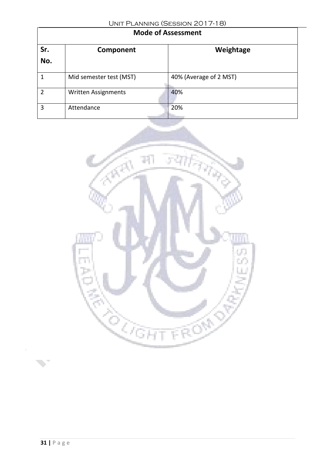| <b>Mode of Assessment</b> |                            |                        |  |
|---------------------------|----------------------------|------------------------|--|
| Sr.<br>No.                | Component                  | Weightage              |  |
|                           | Mid semester test (MST)    | 40% (Average of 2 MST) |  |
| $\mathfrak z$             | <b>Written Assignments</b> | 40%                    |  |
| 3                         | Attendance                 | 20%                    |  |



 $\bar{4}$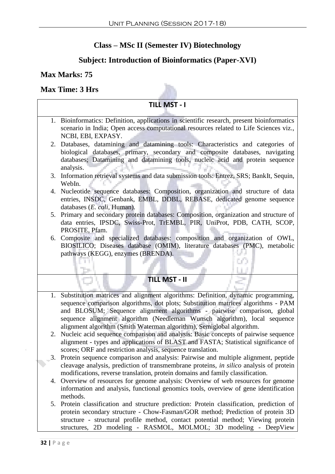## **Class – MSc II (Semester IV) Biotechnology**

## **Subject: Introduction of Bioinformatics (Paper-XVI)**

#### **Max Marks: 75**

#### **Max Time: 3 Hrs**

#### **TILL MST - I** 1. Bioinformatics: Definition, applications in scientific research, present bioinformatics scenario in India; Open access computational resources related to Life Sciences viz., NCBI, EBI, EXPASY. 2. Databases, datamining and datamining tools: Characteristics and categories of biological databases, primary, secondary and composite databases, navigating databases; Datamining and datamining tools, nucleic acid and protein sequence analysis. 3. Information retrieval systems and data submission tools: Entrez, SRS; BankIt, Sequin, WebIn. 4. Nucleotide sequence databases: Composition, organization and structure of data entries, INSDC, Genbank, EMBL, DDBL, REBASE, dedicated genome sequence databases (*E. coli,* Human). 5. Primary and secondary protein databases: Composition, organization and structure of data entries, IPSDC, Swiss-Prot, TrEMBL, PIR, UniProt, PDB, CATH, SCOP, PROSITE, Pfam. 6. Composite and specialized databases: composition and organization of OWL, BIOSILICO; Diseases database (OMIM), literature databases (PMC), metabolic pathways (KEGG), enzymes (BRENDA). U) **TILL MST - II** 1. Substitution matrices and alignment algorithms: Definition, dynamic programming, sequence comparison algorithms, dot plots; Substitution matrices algorithms - PAM and BLOSUM; Sequence alignment algorithms - pairwise comparison, global sequence alignment algorithm (Needleman Wunsch algorithm), local sequence alignment algorithm (Smith Waterman algorithm), Semiglobal algorithm. 2. Nucleic acid sequence comparison and analysis: Basic concepts of pairwise sequence alignment - types and applications of BLAST and FASTA; Statistical significance of scores; ORF and restriction analysis, sequence translation. 3. Protein sequence comparison and analysis: Pairwise and multiple alignment, peptide cleavage analysis, prediction of transmembrane proteins, *in silico* analysis of protein modifications, reverse translation, protein domains and family classification. 4. Overview of resources for genome analysis: Overview of web resources for genome information and analysis, functional genomics tools, overview of gene identification methods.

5. Protein classification and structure prediction: Protein classification, prediction of protein secondary structure - Chow-Fasman/GOR method; Prediction of protein 3D structure - structural profile method, contact potential method; Viewing protein structures, 2D modeling - RASMOL, MOLMOL; 3D modeling - DeepView